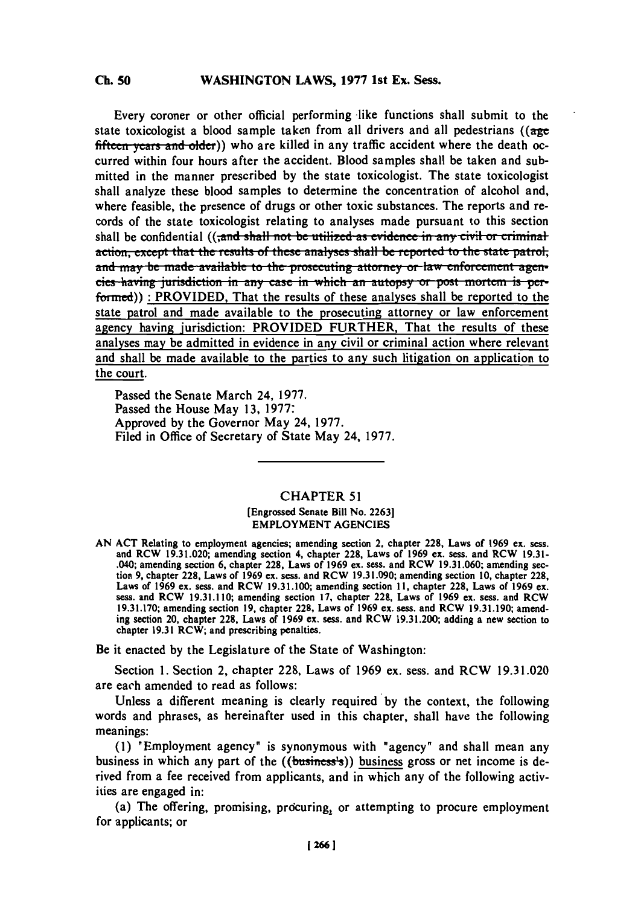# **C. 50WASHINGTON LAWS, 1977 1st Ex. Sess.**

**Ch. 50**

Every coroner or other official performing -like functions shall submit to the state toxicologist a blood sample taken from all drivers and all pedestrians **((age** fifteen years and older)) who are killed in any traffic accident where the death occurred within four hours after the accident. Blood samples shall be taken and submitted in the manner prescribed **by** the state toxicologist. The state toxicologist shall analyze these blood samples to determine the concentration of alcohol and, where feasible, the presence of drugs or other toxic substances. The reports and records of the state toxicologist relating to analyses made pursuant to this section shall be confidential ((<del>,and shall not be utilized as evidence in any civil or criminal</del> action, except that the results of these analyses shall be reported to the state patrol, **and may be made available to the prosecuting attorney or law enforcement agen**eics having jurisdiction in any case in which an autopsy or post mortem is performed)) : PROVIDED, That the results of these analyses shall be reported to the state patrol and made available to the prosecuting attorney or law enforcement agency having jurisdiction: PROVIDED FURTHER, That the results of these analyses may be admitted in evidence in any civil or criminal action where relevant and shall be made available to the parties to any such litigation on application to the court.

Passed the Senate March 24, **1977.** Passed the House May **13, 1977:** Approved **by** the Governor May 24, **1977.** Filed in Office of Secretary of State May 24, **1977.**

## **CHAPTER 51**

### [Engrossed Senate Bill No. **2263]** EMPLOYMENT **AGENCIES**

AN ACT Relating to employment agencies; amending section 2, chapter 228, Laws of 1969 ex. sess.<br>and RCW 19.31.020; amending section 4, chapter 228, Laws of 1969 ex. sess. and RCW 19.31-.040; amending section **6,** chapter **228,** Laws of **1969** ex. sess. and RCW **19.3 1.060;** amending sec bion 9, chapter 228, Laws of 1969 ex. sess. and RCW 19.31.090; amending section 10, chapter 228, Laws of 1969 ex. sess. and RCW 19.31.090; amending section 10, chapter 228, Laws of 1969 ex. sess. and RCW 19.31.100; amendin **19.31.170;** amending section **19,** chapter **228,** Laws of **1969** ex. sess. and RCW **19.31.190;** amending section 20, chapter **228.** Laws of **1969** ex. sess. and RCW **19.31.200;** adding a new section to chapter **19.31** RCW; and prescribing penalties.

**Be it** enacted **by** the Legislature of the State of Washington:

Section **1.** Section 2, chapter **228,** Laws of **1969** ex. sess. and RCW **19.31.020** are each amended to read as follows:

Unless a different meaning is clearly required **by** the context, the following words and phrases, as hereinafter used in this chapter, shall have the following meanings:

**(1)** "Employment agency" is synonymous with "agency' and shall mean any business in which any part of the  $((**business's**))$  business gross or net income is derived from a fee received from applicants, and in which any of the following activities are engaged in:

(a) The offering, promising, procuring, or attempting to procure employment for applicants; or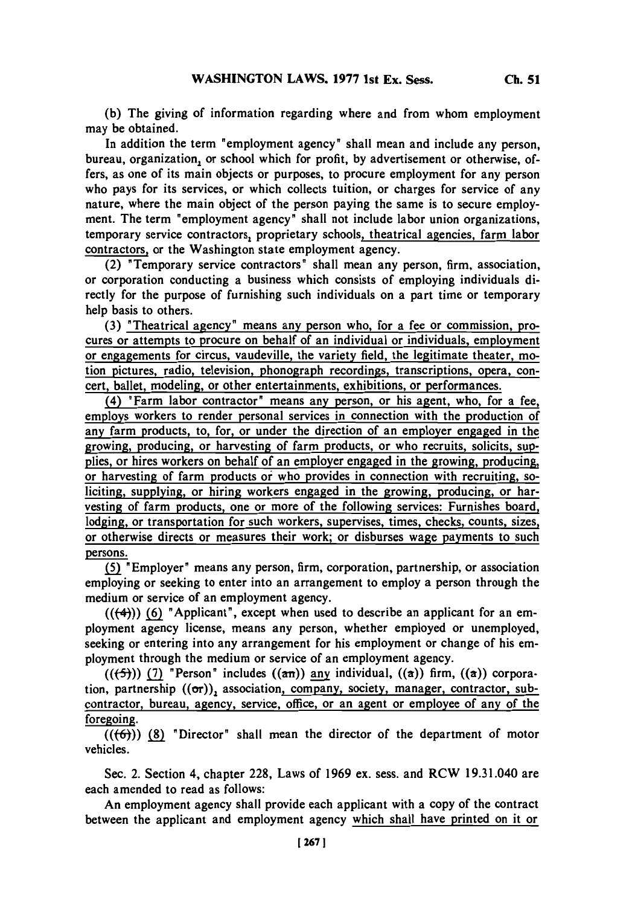**(b)** The giving of information regarding where and from whom employment may be obtained.

In addition the term "employment agency" shall mean and include any person, bureau, organization, or school which for profit, by advertisement or otherwise, offers, as one of its main objects or purposes, to procure employment for any person who pays for its services, or which collects tuition, or charges for service of any nature, where the main object of the person paying the same is to secure employment. The term 'employment agency' shall not include labor union organizations, temporary service contractors, proprietary schools, theatrical agencies, farm labor contractors, or the Washington state employment agency.

(2) 'Temporary service contractors" shall mean any person, firm, association, or corporation conducting a business which consists of employing individuals directly for the purpose of furnishing such individuals on a part time or temporary help basis to others.

**(3)** 'Theatrical agency' means any person who, for a fee or commission, procures or attempts to procure on behalf of an individual or individuals, employment or engagements for circus, vaudeville, the variety field, the legitimate theater, motion pictures, radio, television, phonograph recordings, transcriptions, opera, concert, ballet, modeling, or other entertainments, exhibitions, or performances.

(4) 'Farm labor contractor' means any person, or his agent, who, for a fee, employs workers to render personal services in connection with the production of any farm products, to, for, or under the direction of an employer engaged in the growing, producing, or harvesting of farm products, or who recruits, solicits, supplies, or hires workers on behalf of an employer engaged in the growing, producing, or harvesting of farm products of who provides in connection with recruiting, soliciting, supplying, or hiring workers engaged in the growing, producing, or harvesting of farm products, one or more of the following services: Furnishes board, lodging, or transportation for such workers, supervises, times, checks, counts, sizes, or otherwise directs or measures their work; or disburses wage payments to such persons.

**( J** 'Employer' means any person, firm, corporation, partnership, or association employing or seeking to enter into an arrangement to employ a person through the medium or service of an employment agency.

 $((+4))$  (6) <sup>"</sup>Applicant", except when used to describe an applicant for an employment agency license, means any person, whether employed or unemployed, seeking or entering into any arrangement for his employment or change of his employment through the medium or service of an employment agency.

 $((\left\lbrace 5 \right\rbrace))$  (7) <sup>"</sup>Person" includes  $(\left\lbrace \alpha \right\rbrace)$  any individual,  $(\left\lbrace \alpha \right\rbrace)$  firm,  $(\left\lbrace \alpha \right\rbrace)$  corporation, partnership  $((\sigma r))$ , association, company, society, manager, contractor, subcontractor, bureau, agency, service, office, or an agent or employee of any of the foregoing.

**(((54)) (8)** 'Director' shall mean the director of the department of motor vehicles.

Sec. 2. Section 4, chapter **228,** Laws of **1969** ex. sess. and RCW 19.3 1.040 are each amended to read as follows:

An employment agency shall provide each applicant with a copy of the contract between the applicant and employment agency which shall have printed on it or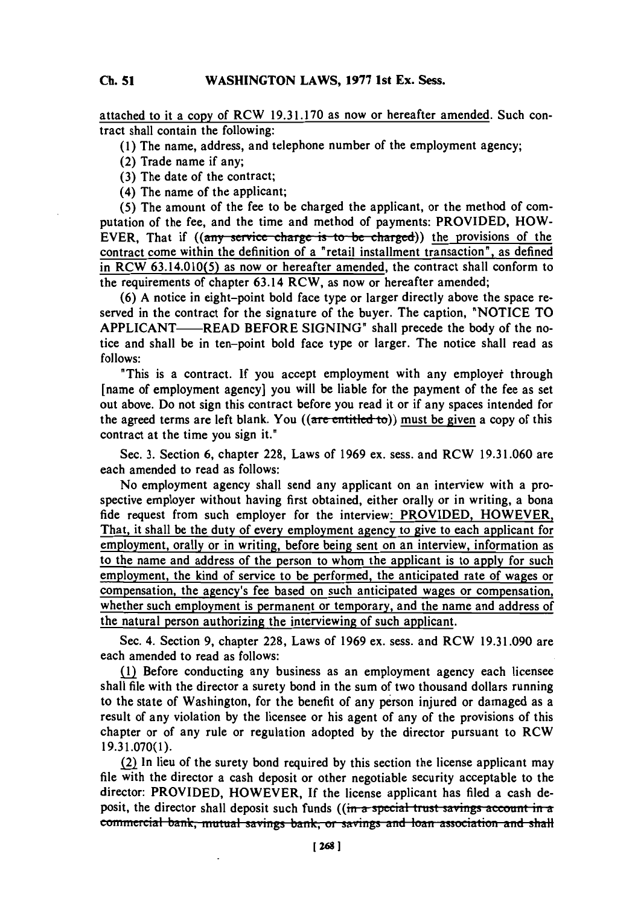#### **Cl. SiWASHINGTON LAWS, 1977 1st Ex. Sess. Ch. 51**

attached to it a copy of RCW **19.31.170** as now or hereafter amended. Such contract shall contain the following:

**(1)** The name, address, and telephone number of the employment agency;

(2) Trade name if any;

**(3)** The date of the contract;

(4) The name of the applicant;

**(5)** The amount of the fee to be charged the applicant, or the method of computation of the fee, and the time and method of payments: PROVIDED, HOW-EVER, That if ((any service charge is to be charged)) the provisions of the contract come within the definition of a "retail installment transaction", as defined in RCW **63.14.010(5)** as now or hereafter amended, the contract shall conform to the requirements of chapter 63.14 RCW, as now or hereafter amended;

**(6) A** notice in eight-point bold face type or larger directly above the space reserved in the contract for the signature of the buyer. The caption, 'NOTICE TO APPLICANT-READ BEFORE **SIGNING'** shall precede the body of the notice and shall be in ten-point bold face type or larger. The notice shall read as **follows:**

'This is a contract. If you accept employment with any employet through [name of employment agency] you will be liable for the payment of the fee as set out above. Do not sign this contract before you read it or if any spaces intended for the agreed terms are left blank. You  $((\text{are entitled to}))$  must be given a copy of this contract at the time you sign it."

Sec. **3.** Section **6,** chapter **228,** Laws of **1969** ex. sess. and RCW **19.31.060** are each amended to read as follows:

No employment agency shall send any applicant on an interview with a prospective employer without having first obtained, either orally or in writing, a bona fide request from such employer for the interview: PROVIDED, HOWEVER, That, it shall be the duty of every employment agency to give to each applicant for employment, orally or in writing, before being sent on an interview, information as to the name and address of the person to whom the applicant is to apply for such employment, the kind of service to be performed, the anticipated rate of wages or compensation, the agency's fee based on such anticipated wages or compensation, whether such employment is permanent or temporary, and the name and address of the natural person authorizing the interviewing of such applicant.

Sec. 4. Section **9,** chapter **228,** Laws of **1969** ex. sess. and RCW **19.3 1.090** are each amended to read as follows:

Mi Before conducting any business as an employment agency each licensee shall file with the director a surety bond in the sum of two thousand dollars running to the state of Washington, for the benefit of any person injured or damaged as a result of any violation **by** the licensee or his agent of any of the provisions of this chapter or of any rule or regulation adopted **by** the director pursuant to RCW **19.3 1.070(1).**

(2 In lieu of the surety bond required **by** this section the license applicant may file with the director a cash deposit or other negotiable security acceptable to the director: PROVIDED, HOWEVER, **If** the license applicant has filed a cash deposit, the director shall deposit such funds ((in a special trust savings account in a **<u>commercial bank, mutual savings bank, or savings and loan association and shall</u>**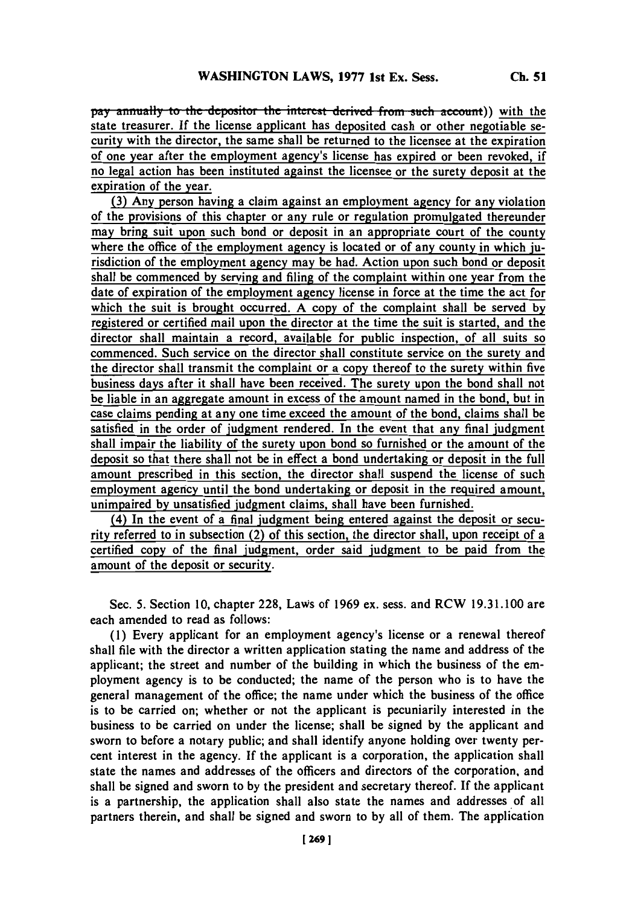pay annually to the depositor the interest derived from such account)) with the state treasurer. **If** the license applicant has deposited cash or other negotiable security with the director, the same shall be returned to the licensee at the expiration of one year after the employment agency's license has expired or been revoked, if no legal action has been instituted against the licensee or the surety deposit at the expiration of the year.

**(3)** Any person having a claim against an employment agency for any violation of the provisions of this chapter or any rule or regulation promulgated thereunder may bring suit upon such bond or deposit in an appropriate court of the county where the office of the employment agency is located or of any county in which iurisdiction of the employment agency may be had. Action upon such bond or deposit shall be commenced **by** serving and filing of the complaint within one year from the date of expiration of the employment agency license in force at the time the act for which the suit is brought occurred. **A** copy of the complaint shall be served **by** registered or certified mail upon the director at the time the suit is started, and the director shall maintain a record, available for public inspection, of all suits so commenced. Such service on the director shall constitute service on the surety **and** the director shall transmit the complaint or a copy thereof to the surety within five business days after it shall have been received. The surety upon the bond shall not be liable in an aggregate amount in excess of the amount named in the bond, but in case claims pending at any one time exceed the amount of the bond, claims shall be satisfied in the order of judgment rendered. In the event that any final judgment shall impair the liability of the surety upon bond so furnished or the amount of the deposit so that there shall not be in effect a bond undertaking or deposit in the **full** amount prescribed in this section, the director shall suspend the license of such employment agency until the bond undertaking or deposit in the required amount, unimpaired **by** unsatisfied judgment claims, shall have been furnished.

(4) In the event of a final judgment being entered against the deposit or security referred to in subsection (2) of this section, the director shall, upon receipt of a certified copy of the final judgment, order said judgment to be paid from the amount of the deposit or security.

Sec. **5.** Section **10,** chapter **228,** Laws of **1969** ex. sess. and RCW **19.3 1. 100** are each amended to read as follows:

**(1)** Every applicant for an employment agency's license or a renewal thereof shall file with the director a written application stating the name and address of the applicant; the street and number of the building in which the business of the employment agency is to be conducted; the name of the person who is to have the general management of the office; the name under which the business of the office is to be carried on; whether or not the applicant is pecuniarily interested in the business to be carried on under the license; shall be signed **by** the applicant and sworn to before a notary public; and shall identify anyone holding over twenty percent interest in the agency. If the applicant is a corporation, the application shall state the names and addresses of the officers and directors of the corporation, and shall be signed and sworn to **by** the president and secretary thereof. **If** the applicant is a partnership, the application shall also state the names and addresses **'of** all partners therein, and shall be signed and sworn to **by** all of them. The application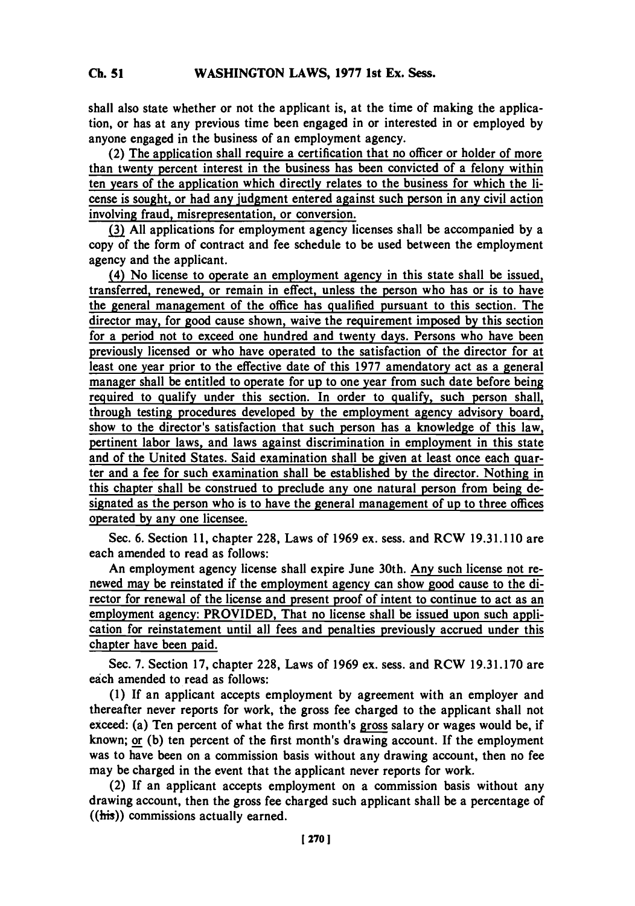shall also state whether or not the applicant is, at the time of making the application, or has at any previous time been engaged in or interested in or employed **by** anyone engaged in the business of an employment agency.

(2) The application shall require a certification that no officer or holder of more than twenty percent interest in the business has been convicted of a felony within ten years of the application which directly relates to the business for which the license is sought, or had any judgment entered against such person in any civil action involving fraud, misrepresentation, or conversion.

**(3) All** applications for employment agency licenses shall be accompanied **by** a copy of the form of contract and fee schedule to be used between the employment agency and the applicant.

(4) No license to operate an employment agency in this state shall be issued, transferred, renewed, or remain in effect, unless the person who has or is to have the general management of the office has qualified pursuant to this section. The director may, for good cause shown, waive the requirement imposed **by** this section for a period not to exceed one hundred and twenty days. Persons who have been previously licensed or who have operated to the satisfaction of the director for at least one year prior to the effective date of this **1977** amendatory act as a general manager shall be entitled to operate for up to one year from such date before being required to qualify under this section. In order to qualify, such person shall, through testing procedures developed **by** the employment agency advisory board, show to the director's satisfaction that such person has a knowledge of this law, pertinent labor laws, and laws against discrimination in employment in this state and of the United States. Said examination shall be given at least once each quarter and a fee for such examination shall be established **by** the director. Nothing in this chapter shall be construed to preclude any one natural person from being designated as the person who is to have the general management of up to three offices operated **by** any one licensee.

Sec. **6.** Section **11,** chapter **228,** Laws of **1969** ex. sess. and RCW **19.3 1.110** are each amended to read as follows:

An employment agency license shall expire June 30th. Any such license not renewed may be reinstated if the employment agency can show good cause to the director for renewal of the license and present proof of intent to continue to act as an employment agency: PROVIDED, That no license shall be issued upon such application for reinstatement until all fees and penalties previously accrued under this chapter have been paid.

Sec. **7.** Section **17,** chapter **228,** Laws of **1969** ex. sess. and RCW **19.31.170** are each amended to read as follows:

**(1) If** an applicant accepts employment **by** agreement with an employer and thereafter never reports for work, the gross fee charged to the applicant shall not exceed: (a) Ten percent of what the first month's gross salary or wages would be, if known; or **(b)** ten percent of the first month's drawing account. **If** the employment was to have been on a commission basis without any drawing account, then no fee may be charged in the event that the applicant never reports for work.

(2) If an applicant accepts employment on a commission basis without any drawing account, then the gross fee charged such applicant shall be a percentage of ((his)) commissions actually earned.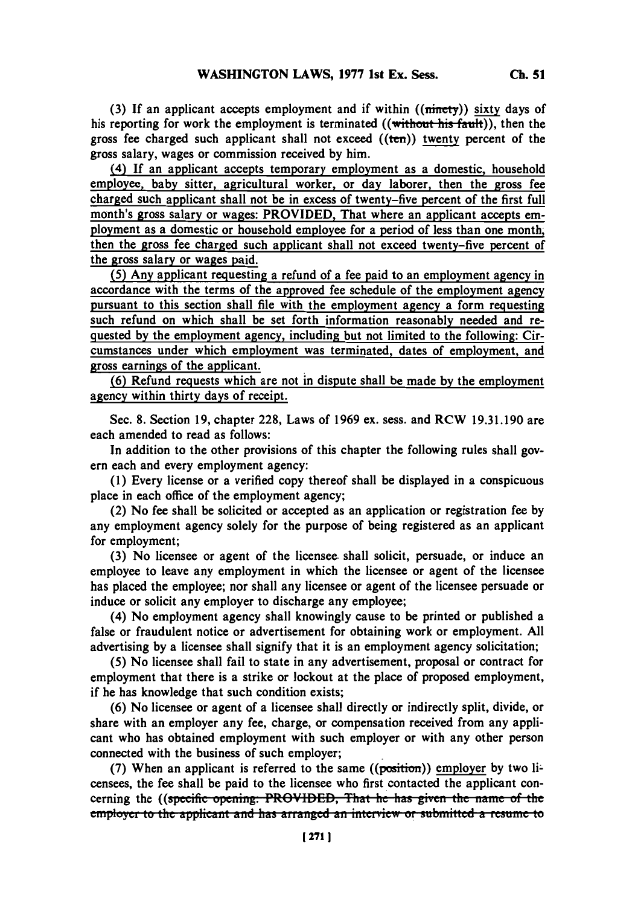(3) If an applicant accepts employment and if within ((*ninety*)) sixty days of his reporting for work the employment is terminated  $((with$  with  $(x)$ , then the gross fee charged such applicant shall not exceed  $((ten))$  twenty percent of the gross salary, wages or commission received **by** him.

(4) **If** an applicant accepts temporary employment as a domestic, household employee, baby sitter, agricultural worker, or day laborer, then the gross fee charged such applicant shall not be in excess of twenty-five percent of the first full month's gross salary or wages: PROVIDED, That where an applicant accepts employment as a domestic or household employee for a period of less than one month, then the gross fee charged such applicant shall not exceed twenty-five percent of the gross salary or wages paid.

**(5)** Any applicant requesting a refund of a fee paid to an employment agency in accordance with the terms of the approved fee schedule of the employment agency pursuant to this section shall file with the employment agency a form requesting such refund on which shall be set forth information reasonably needed and requested **by** the employment agency, including but not limited to the following: Circumstances under which employment was terminated, dates of employment, and gross earnings of the applicant.

(6) Refund requests which are not in dispute shall be made by the employment agency within thirty days of receipt.

Sec. **8.** Section **19,** chapter **228,** Laws of **1969** ex. sess. and RCW **19.31.190** are each amended to read as follows:

In addition to the other provisions of this chapter the following rules shall govern each and every employment agency:

**(1)** Every license or a verified copy thereof shall be displayed in a conspicuous place in each office of the employment agency;

(2) No fee shall be solicited or accepted as an application or registration fee **by** any employment agency solely for the purpose of being registered as an applicant for employment;

**(3)** No licensee or agent of the licensee, shall solicit, persuade, or induce an employee to leave any employment in which the licensee or agent of the licensee has placed the employee; nor shall any licensee or agent of the licensee persuade or induce or solicit any employer to discharge any employee;

(4) No employment agency shall knowingly cause to be printed or published a false or fraudulent notice or advertisement for obtaining work or employment. **All** advertising **by** a licensee shall signify that it is an employment agency solicitation;

**(5)** No licensee shall fail to state in any advertisement, proposal or contract for employment that there is a strike or lockout at the place of proposed employment, if he has knowledge that such condition exists;

**(6)** No licensee or agent of a licensee shall directly or indirectly split, divide, or share with an employer any fee, charge, or compensation received from any applicant who has obtained employment with such employer or with any other person connected with the business of such employer;

**(7)** When an applicant is referred to the same ((position.)) employer **by** two licensees, the fee shall be paid to the licensee who first contacted the applicant concerning the *((specific opening: PROVIDED, That he has given the name of the* employer to the applicant and has arranged an interview or submitted a resume to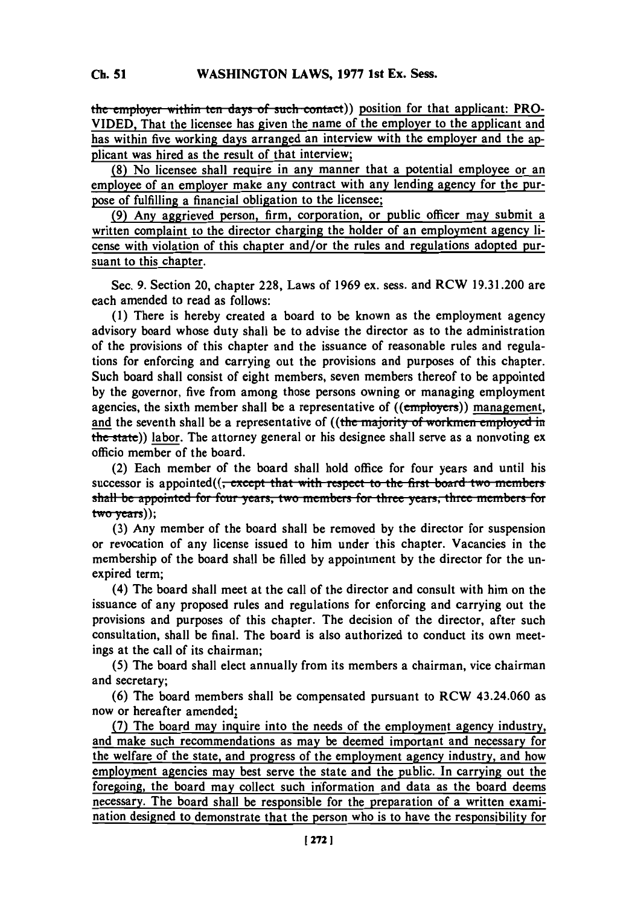the employer within ten days of such contact)) position for that applicant: PRO-**VIDED,** That the licensee has given the name of the employer to the applicant and has within five working days arranged an interview with the employer and the applicant was hired as the result of that interview;

**(8)** No licensee shall reqjuire in any manner that a potential employee or an employee of an employer make any contract with any lending agency for the purpose of fulfilling a financial obligation to the licensee;

**(9)** Any aggrieved person, firm, corporation, or public officer may submit a written complaint to the director charging the holder of an employment agency license with violation of this chapter and/or the rules and regulations adopted pursuant to this chapter.

Sec. **9.** Section 20, chapter **228,** Laws of **1969** ex. sess. and RCW **19.3 1.200** are each amended to read as follows:

**(1)** There is hereby created a board to be known as the employment agency advisory board whose duty shall be to advise the director as to the administration of the provisions of this chapter and the issuance of reasonable rules and regulations for enforcing and carrying out the provisions and purposes of this chapter. Such board shall consist of eight members, seven members thereof to be appointed **by** the governor, five from among those persons owning or managing employment agencies, the sixth member shall be a representative of ((employers)) management, and the seventh shall be a representative of ((the majority of workmen employed in the state)) labor. The attorney general or his designee shall serve as a nonvoting ex officio member of the board.

(2) Each member of the board shall hold office for four years and until his successor is appointed((<del>, except that with respect to the first board two members</del> **shall be appointed for four years, two members for three years, three members for** two-years));

**(3)** Any member of the board shall be removed **by** the director for suspension or revocation of any license issued to him under'this chapter. Vacancies in the membership of the board shall be filled **by** appointment **by** the director for the unexpired term;

(4) The board shall meet at the call of the director and consult with him on the issuance of any proposed rules and regulations for enforcing and carrying out the provisions and purposes of this chapter. The decision of the director, after such consultation, shall be final. The board is also authorized to conduct its own meetings at the call of its chairman;

**(5)** The board shall elect annually from its members a chairman, vice chairman and secretary;

**(6)** The board members shall be compensated pursuant to RCW 43.24.060 as now or hereafter amended;

**(7)** The board may inquire into the needs of the employment agency industry, and make such recommendations as may be deemed important and necessary for the welfare of the state, and progress of the employment agency industry, and how employment agencies may best serve the state and the public. In carrying out the foregoing, the board may collect such information and data as the board deems necessary. The board shall be responsible for the preparation of a written examination designed to demonstrate that the person who is to have the responsibility for